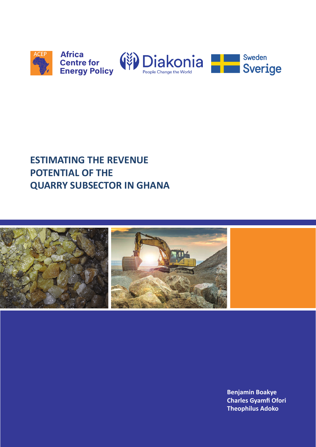

# **ESTIMATING THE REVENUE POTENTIAL OF THE QUARRY SUBSECTOR IN GHANA**



**Benjamin Boakye Charles Gyamfi Ofori Theophilus Adoko**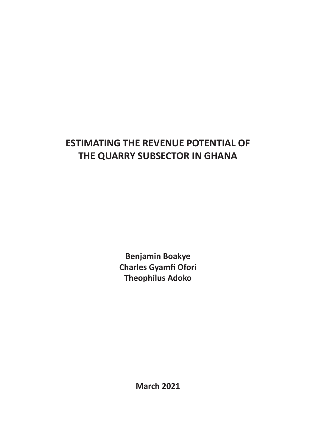# **ESTIMATING THE REVENUE POTENTIAL OF THE QUARRY SUBSECTOR IN GHANA**

**Benjamin Boakye Charles Gyamfi Ofori Theophilus Adoko**

**March 2021**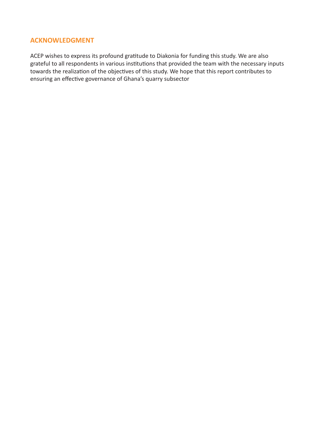## **ACKNOWLEDGMENT**

ACEP wishes to express its profound gratitude to Diakonia for funding this study. We are also grateful to all respondents in various institutions that provided the team with the necessary inputs towards the realization of the objectives of this study. We hope that this report contributes to ensuring an effective governance of Ghana's quarry subsector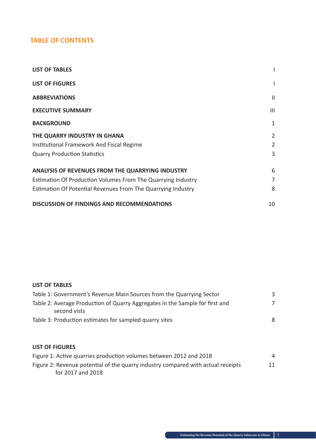# **TABLE OF CONTENTS**

| <b>LIST OF TABLES</b>                                        |                |
|--------------------------------------------------------------|----------------|
| <b>LIST OF FIGURES</b>                                       | I              |
| <b>ABBREVIATIONS</b>                                         | Ш              |
| <b>EXECUTIVE SUMMARY</b>                                     | $\mathbf{III}$ |
| <b>BACKGROUND</b>                                            | 1              |
| THE QUARRY INDUSTRY IN GHANA                                 | 2              |
| Institutional Framework And Fiscal Regime                    | 2              |
| <b>Quarry Production Statistics</b>                          | 3              |
| <b>ANALYSIS OF REVENUES FROM THE QUARRYING INDUSTRY</b>      | 6              |
| Estimation Of Production Volumes From The Quarrying Industry | 7              |
| Estimation Of Potential Revenues From The Quarrying Industry | 8              |
| <b>DISCUSSION OF FINDINGS AND RECOMMENDATIONS</b>            | 10             |

#### **LIST OF TABLES**

| Table 1: Government's Revenue Main Sources from the Quarrying Sector                         | 3 |
|----------------------------------------------------------------------------------------------|---|
| Table 2: Average Production of Quarry Aggregates in the Sample for first and<br>second vists |   |
| Table 3: Production estimates for sampled quarry sites                                       | 8 |

## **LIST OF FIGURES**

| Figure 1: Active quarries production volumes between 2012 and 2018               |    |
|----------------------------------------------------------------------------------|----|
| Figure 2: Revenue potential of the quarry industry compared with actual receipts | 11 |
| for 2017 and 2018                                                                |    |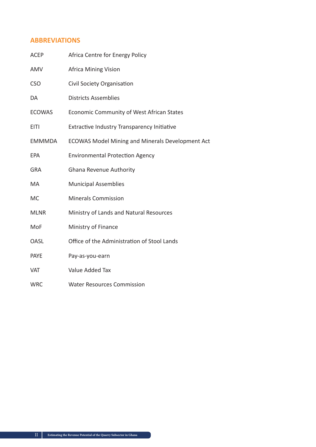## **ABBREVIATIONS**

| <b>ACEP</b>   | Africa Centre for Energy Policy                         |
|---------------|---------------------------------------------------------|
| AMV           | <b>Africa Mining Vision</b>                             |
| <b>CSO</b>    | Civil Society Organisation                              |
| DA            | <b>Districts Assemblies</b>                             |
| <b>ECOWAS</b> | Economic Community of West African States               |
| <b>EITI</b>   | <b>Extractive Industry Transparency Initiative</b>      |
| <b>EMMMDA</b> | <b>ECOWAS Model Mining and Minerals Development Act</b> |
| <b>EPA</b>    | <b>Environmental Protection Agency</b>                  |
| <b>GRA</b>    | Ghana Revenue Authority                                 |
| MA            | <b>Municipal Assemblies</b>                             |
| <b>MC</b>     | <b>Minerals Commission</b>                              |
| <b>MLNR</b>   | Ministry of Lands and Natural Resources                 |
| MoF           | Ministry of Finance                                     |
| <b>OASL</b>   | Office of the Administration of Stool Lands             |
| <b>PAYE</b>   | Pay-as-you-earn                                         |
| <b>VAT</b>    | Value Added Tax                                         |
| <b>WRC</b>    | <b>Water Resources Commission</b>                       |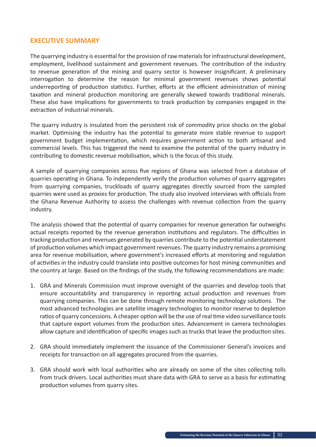## **EXECUTIVE SUMMARY**

The quarrying industry is essential for the provision of raw materials for infrastructural development, employment, livelihood sustainment and government revenues. The contribution of the industry to revenue generation of the mining and quarry sector is however insignificant. A preliminary interrogation to determine the reason for minimal government revenues shows potential underreporting of production statistics. Further, efforts at the efficient administration of mining taxation and mineral production monitoring are generally skewed towards traditional minerals. These also have implications for governments to track production by companies engaged in the extraction of industrial minerals.

The quarry industry is insulated from the persistent risk of commodity price shocks on the global market. Optimising the industry has the potential to generate more stable revenue to support government budget implementation, which requires government action to both artisanal and commercial levels. This has triggered the need to examine the potential of the quarry industry in contributing to domestic revenue mobilisation, which is the focus of this study.

A sample of quarrying companies across five regions of Ghana was selected from a database of quarries operating in Ghana. To independently verify the production volumes of quarry aggregates from quarrying companies, truckloads of quarry aggregates directly sourced from the sampled quarries were used as proxies for production. The study also involved interviews with officials from the Ghana Revenue Authority to assess the challenges with revenue collection from the quarry industry.

The analysis showed that the potential of quarry companies for revenue generation far outweighs actual receipts reported by the revenue generation institutions and regulators. The difficulties in tracking production and revenues generated by quarries contribute to the potential understatement of production volumes which impact government revenues. The quarry industry remains a promising area for revenue mobilisation, where government's increased efforts at monitoring and regulation of activities in the industry could translate into positive outcomes for host mining communities and the country at large. Based on the findings of the study, the following recommendations are made:

- 1. GRA and Minerals Commission must improve oversight of the quarries and develop tools that ensure accountability and transparency in reporting actual production and revenues from quarrying companies. This can be done through remote monitoring technology solutions. The most advanced technologies are satellite imagery technologies to monitor reserve to depletion ratios of quarry concessions. A cheaper option will be the use of real time video surveillance tools that capture export volumes from the production sites. Advancement in camera technologies allow capture and identification of specific images such as trucks that leave the production sites.
- 2. GRA should immediately implement the issuance of the Commissioner General's invoices and receipts for transaction on all aggregates procured from the quarries.
- 3. GRA should work with local authorities who are already on some of the sites collecting tolls from truck drivers. Local authorities must share data with GRA to serve as a basis for estimating production volumes from quarry sites.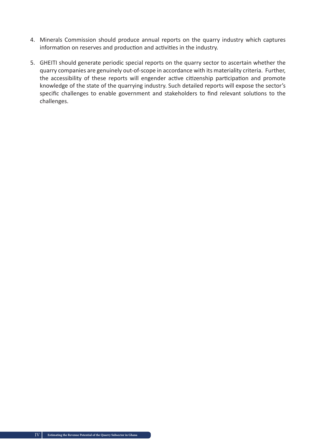- 4. Minerals Commission should produce annual reports on the quarry industry which captures information on reserves and production and activities in the industry.
- 5. GHEITI should generate periodic special reports on the quarry sector to ascertain whether the quarry companies are genuinely out-of-scope in accordance with its materiality criteria. Further, the accessibility of these reports will engender active citizenship participation and promote knowledge of the state of the quarrying industry. Such detailed reports will expose the sector's specific challenges to enable government and stakeholders to find relevant solutions to the challenges.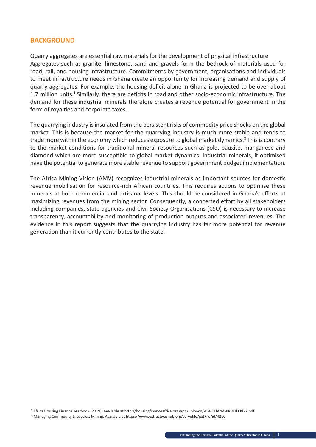#### **BACKGROUND**

Quarry aggregates are essential raw materials for the development of physical infrastructure Aggregates such as granite, limestone, sand and gravels form the bedrock of materials used for road, rail, and housing infrastructure. Commitments by government, organisations and individuals to meet infrastructure needs in Ghana create an opportunity for increasing demand and supply of quarry aggregates. For example, the housing deficit alone in Ghana is projected to be over about 1.7 million units.<sup>1</sup> Similarly, there are deficits in road and other socio-economic infrastructure. The demand for these industrial minerals therefore creates a revenue potential for government in the form of royalties and corporate taxes.

The quarrying industry is insulated from the persistent risks of commodity price shocks on the global market. This is because the market for the quarrying industry is much more stable and tends to trade more within the economy which reduces exposure to global market dynamics.<sup>2</sup> This is contrary to the market conditions for traditional mineral resources such as gold, bauxite, manganese and diamond which are more susceptible to global market dynamics. Industrial minerals, if optimised have the potential to generate more stable revenue to support government budget implementation.

The Africa Mining Vision (AMV) recognizes industrial minerals as important sources for domestic revenue mobilisation for resource-rich African countries. This requires actions to optimise these minerals at both commercial and artisanal levels. This should be considered in Ghana's efforts at maximizing revenues from the mining sector. Consequently, a concerted effort by all stakeholders including companies, state agencies and Civil Society Organisations (CSO) is necessary to increase transparency, accountability and monitoring of production outputs and associated revenues. The evidence in this report suggests that the quarrying industry has far more potential for revenue generation than it currently contributes to the state.

<sup>1</sup> Africa Housing Finance Yearbook (2019). Available at http://housingfinanceafrica.org/app/uploads/V14-GHANA-PROFILEKF-2.pdf ² Managing Commodity Lifecycles, Mining. Available at https://www.extractiveshub.org/servefile/getFile/id/4210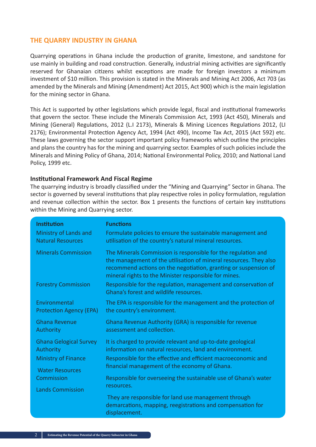### **THE QUARRY INDUSTRY IN GHANA**

Quarrying operations in Ghana include the production of granite, limestone, and sandstone for use mainly in building and road construction. Generally, industrial mining activities are significantly reserved for Ghanaian citizens whilst exceptions are made for foreign investors a minimum investment of \$10 million. This provision is stated in the Minerals and Mining Act 2006, Act 703 (as amended by the Minerals and Mining (Amendment) Act 2015, Act 900) which is the main legislation for the mining sector in Ghana.

This Act is supported by other legislations which provide legal, fiscal and institutional frameworks that govern the sector. These include the Minerals Commission Act, 1993 (Act 450), Minerals and Mining (General) Regulations, 2012 (L.I 2173), Minerals & Mining Licences Regulations 2012, (LI 2176); Environmental Protection Agency Act, 1994 (Act 490), Income Tax Act, 2015 (Act 592) etc. These laws governing the sector support important policy frameworks which outline the principles and plans the country has for the mining and quarrying sector. Examples of such policies include the Minerals and Mining Policy of Ghana, 2014; National Environmental Policy, 2010; and National Land Policy, 1999 etc.

#### **Institutional Framework And Fiscal Regime**

The quarrying industry is broadly classified under the "Mining and Quarrying" Sector in Ghana. The sector is governed by several institutions that play respective roles in policy formulation, regulation and revenue collection within the sector. Box 1 presents the functions of certain key institutions within the Mining and Quarrying sector.

| <b>Institution</b>                   | <b>Functions</b>                                                                                                                                                                                                                                               |
|--------------------------------------|----------------------------------------------------------------------------------------------------------------------------------------------------------------------------------------------------------------------------------------------------------------|
| Ministry of Lands and                | Formulate policies to ensure the sustainable management and                                                                                                                                                                                                    |
| <b>Natural Resources</b>             | utilisation of the country's natural mineral resources.                                                                                                                                                                                                        |
| <b>Minerals Commission</b>           | The Minerals Commission is responsible for the regulation and<br>the management of the utilisation of mineral resources. They also<br>recommend actions on the negotiation, granting or suspension of<br>mineral rights to the Minister responsible for mines. |
| <b>Forestry Commission</b>           | Responsible for the regulation, management and conservation of<br>Ghana's forest and wildlife resources.                                                                                                                                                       |
| Environmental                        | The EPA is responsible for the management and the protection of                                                                                                                                                                                                |
| <b>Protection Agency (EPA)</b>       | the country's environment.                                                                                                                                                                                                                                     |
| <b>Ghana Revenue</b>                 | Ghana Revenue Authority (GRA) is responsible for revenue                                                                                                                                                                                                       |
| Authority                            | assessment and collection.                                                                                                                                                                                                                                     |
| <b>Ghana Gelogical Survey</b>        | It is charged to provide relevant and up-to-date geological                                                                                                                                                                                                    |
| <b>Authority</b>                     | information on natural resources, land and environment.                                                                                                                                                                                                        |
| <b>Ministry of Finance</b>           | Responsible for the effective and efficient macroeconomic and                                                                                                                                                                                                  |
| <b>Water Resources</b><br>Commission | financial management of the economy of Ghana.<br>Responsible for overseeing the sustainable use of Ghana's water<br>resources.                                                                                                                                 |
| <b>Lands Commission</b>              | They are responsible for land use management through<br>demarcations, mapping, reegistrations and compensation for<br>displacement.                                                                                                                            |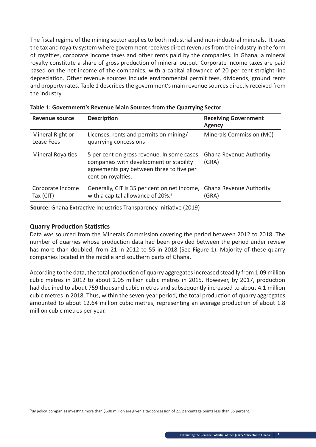The fiscal regime of the mining sector applies to both industrial and non-industrial minerals. It uses the tax and royalty system where government receives direct revenues from the industry in the form of royalties, corporate income taxes and other rents paid by the companies. In Ghana, a mineral royalty constitute a share of gross production of mineral output. Corporate income taxes are paid based on the net income of the companies, with a capital allowance of 20 per cent straight-line depreciation. Other revenue sources include environmental permit fees, dividends, ground rents and property rates. Table 1 describes the government's main revenue sources directly received from the industry.

| <b>Revenue source</b>          | <b>Description</b>                                                                                                                                       | <b>Receiving Government</b><br><b>Agency</b> |
|--------------------------------|----------------------------------------------------------------------------------------------------------------------------------------------------------|----------------------------------------------|
| Mineral Right or<br>Lease Fees | Licenses, rents and permits on mining/<br>quarrying concessions                                                                                          | Minerals Commission (MC)                     |
| <b>Mineral Royalties</b>       | 5 per cent on gross revenue. In some cases,<br>companies with development or stability<br>agreements pay between three to five per<br>cent on royalties. | <b>Ghana Revenue Authority</b><br>(GRA)      |
| Corporate Income<br>Tax (CIT)  | Generally, CIT is 35 per cent on net income, Ghana Revenue Authority<br>with a capital allowance of 20%. <sup>3</sup>                                    | (GRA)                                        |

| Table 1: Government's Revenue Main Sources from the Quarrying Sector |  |  |
|----------------------------------------------------------------------|--|--|
|----------------------------------------------------------------------|--|--|

**Source:** Ghana Extractive Industries Transparency Initiative (2019)

#### **Quarry Production Statistics**

Data was sourced from the Minerals Commission covering the period between 2012 to 2018. The number of quarries whose production data had been provided between the period under review has more than doubled, from 21 in 2012 to 55 in 2018 (See Figure 1). Majority of these quarry companies located in the middle and southern parts of Ghana.

According to the data, the total production of quarry aggregates increased steadily from 1.09 million cubic metres in 2012 to about 2.05 million cubic metres in 2015. However, by 2017, production had declined to about 759 thousand cubic metres and subsequently increased to about 4.1 million cubic metres in 2018. Thus, within the seven-year period, the total production of quarry aggregates amounted to about 12.64 million cubic metres, representing an average production of about 1.8 million cubic metres per year.

<sup>3</sup>By policy, companies investing more than \$500 million are given a tax concession of 2.5 percentage points less than 35 percent.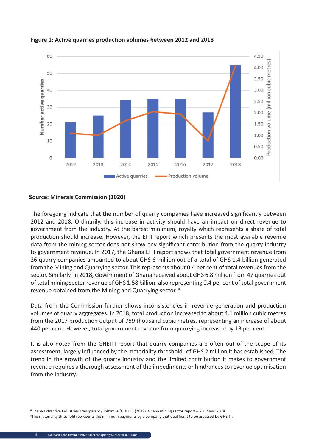

**Figure 1: Active quarries production volumes between 2012 and 2018**

#### **Source: Minerals Commission (2020)**

The foregoing indicate that the number of quarry companies have increased significantly between 2012 and 2018. Ordinarily, this increase in activity should have an impact on direct revenue to government from the industry. At the barest minimum, royalty which represents a share of total production should increase. However, the EITI report which presents the most available revenue data from the mining sector does not show any significant contribution from the quarry industry to government revenue. In 2017, the Ghana EITI report shows that total government revenue from 26 quarry companies amounted to about GHS 6 million out of a total of GHS 1.4 billion generated from the Mining and Quarrying sector. This represents about 0.4 per cent of total revenues from the sector. Similarly, in 2018, Government of Ghana received about GHS 6.8 million from 47 quarries out of total mining sector revenue of GHS 1.58 billion, also representing 0.4 per cent of total government revenue obtained from the Mining and Quarrying sector.<sup>4</sup>

Data from the Commission further shows inconsistencies in revenue generation and production volumes of quarry aggregates. In 2018, total production increased to about 4.1 million cubic metres from the 2017 production output of 759 thousand cubic metres, representing an increase of about 440 per cent. However, total government revenue from quarrying increased by 13 per cent.

It is also noted from the GHEITI report that quarry companies are often out of the scope of its assessment, largely influenced by the materiality threshold<sup>5</sup> of GHS 2 million it has established. The trend in the growth of the quarry industry and the limited contribution it makes to government revenue requires a thorough assessment of the impediments or hindrances to revenue optimisation from the industry.

⁴Ghana Extractive Industries Transparency Initiative (GHEITI) (2019). Ghana mining sector report – 2017 and 2018 ⁵The materiality threshold represents the minimum payments by a company that qualifies it to be assessed by GHEITI.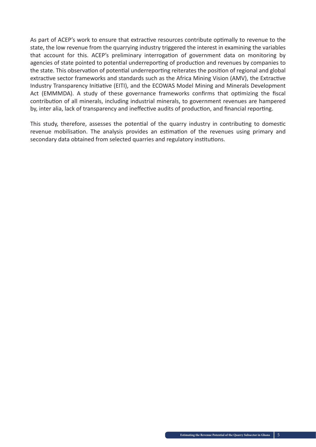As part of ACEP's work to ensure that extractive resources contribute optimally to revenue to the state, the low revenue from the quarrying industry triggered the interest in examining the variables that account for this. ACEP's preliminary interrogation of government data on monitoring by agencies of state pointed to potential underreporting of production and revenues by companies to the state. This observation of potential underreporting reiterates the position of regional and global extractive sector frameworks and standards such as the Africa Mining Vision (AMV), the Extractive Industry Transparency Initiative (EITI), and the ECOWAS Model Mining and Minerals Development Act (EMMMDA). A study of these governance frameworks confirms that optimizing the fiscal contribution of all minerals, including industrial minerals, to government revenues are hampered by, inter alia, lack of transparency and ineffective audits of production, and financial reporting.

This study, therefore, assesses the potential of the quarry industry in contributing to domestic revenue mobilisation. The analysis provides an estimation of the revenues using primary and secondary data obtained from selected quarries and regulatory institutions.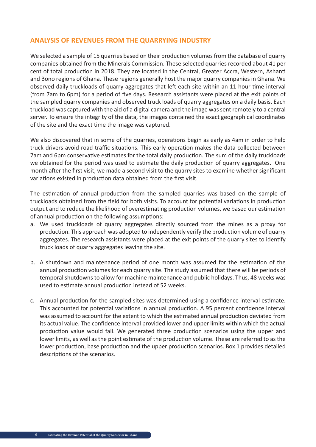### **ANALYSIS OF REVENUES FROM THE QUARRYING INDUSTRY**

We selected a sample of 15 quarries based on their production volumes from the database of quarry companies obtained from the Minerals Commission. These selected quarries recorded about 41 per cent of total production in 2018. They are located in the Central, Greater Accra, Western, Ashanti and Bono regions of Ghana. These regions generally host the major quarry companies in Ghana. We observed daily truckloads of quarry aggregates that left each site within an 11-hour time interval (from 7am to 6pm) for a period of five days. Research assistants were placed at the exit points of the sampled quarry companies and observed truck loads of quarry aggregates on a daily basis. Each truckload was captured with the aid of a digital camera and the image was sent remotely to a central server. To ensure the integrity of the data, the images contained the exact geographical coordinates of the site and the exact time the image was captured.

We also discovered that in some of the quarries, operations begin as early as 4am in order to help truck drivers avoid road traffic situations. This early operation makes the data collected between 7am and 6pm conservative estimates for the total daily production. The sum of the daily truckloads we obtained for the period was used to estimate the daily production of quarry aggregates. One month after the first visit, we made a second visit to the quarry sites to examine whether significant variations existed in production data obtained from the first visit.

The estimation of annual production from the sampled quarries was based on the sample of truckloads obtained from the field for both visits. To account for potential variations in production output and to reduce the likelihood of overestimating production volumes, we based our estimation of annual production on the following assumptions:

- a. We used truckloads of quarry aggregates directly sourced from the mines as a proxy for production. This approach was adopted to independently verify the production volume of quarry aggregates. The research assistants were placed at the exit points of the quarry sites to identify truck loads of quarry aggregates leaving the site.
- b. A shutdown and maintenance period of one month was assumed for the estimation of the annual production volumes for each quarry site. The study assumed that there will be periods of temporal shutdowns to allow for machine maintenance and public holidays. Thus, 48 weeks was used to estimate annual production instead of 52 weeks.
- c. Annual production for the sampled sites was determined using a confidence interval estimate. This accounted for potential variations in annual production. A 95 percent confidence interval was assumed to account for the extent to which the estimated annual production deviated from its actual value. The confidence interval provided lower and upper limits within which the actual production value would fall. We generated three production scenarios using the upper and lower limits, as well as the point estimate of the production volume. These are referred to as the lower production, base production and the upper production scenarios. Box 1 provides detailed descriptions of the scenarios.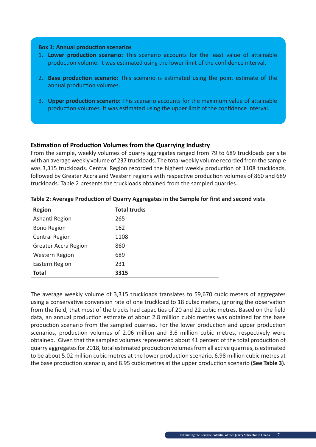#### **Box 1: Annual production scenarios**

- 1. **Lower production scenario:** This scenario accounts for the least value of attainable production volume. It was estimated using the lower limit of the confidence interval.
- 2. **Base production scenario:** This scenario is estimated using the point estimate of the annual production volumes.
- 3. **Upper production scenario:** This scenario accounts for the maximum value of attainable production volumes. It was estimated using the upper limit of the confidence interval.

#### **Estimation of Production Volumes from the Quarrying Industry**

From the sample, weekly volumes of quarry aggregates ranged from 79 to 689 truckloads per site with an average weekly volume of 237 truckloads. The total weekly volume recorded from the sample was 3,315 truckloads. Central Region recorded the highest weekly production of 1108 truckloads, followed by Greater Accra and Western regions with respective production volumes of 860 and 689 truckloads. Table 2 presents the truckloads obtained from the sampled quarries.

| <b>Region</b>               | <b>Total trucks</b> |
|-----------------------------|---------------------|
| Ashanti Region              | 265                 |
| <b>Bono Region</b>          | 162                 |
| <b>Central Region</b>       | 1108                |
| <b>Greater Accra Region</b> | 860                 |
| <b>Western Region</b>       | 689                 |
| Eastern Region              | 231                 |
| <b>Total</b>                | 3315                |

#### **Table 2: Average Production of Quarry Aggregates in the Sample for first and second vists**

The average weekly volume of 3,315 truckloads translates to 59,670 cubic meters of aggregates using a conservative conversion rate of one truckload to 18 cubic meters, ignoring the observation from the field, that most of the trucks had capacities of 20 and 22 cubic metres. Based on the field data, an annual production estimate of about 2.8 million cubic metres was obtained for the base production scenario from the sampled quarries. For the lower production and upper production scenarios, production volumes of 2.06 million and 3.6 million cubic metres, respectively were obtained. Given that the sampled volumes represented about 41 percent of the total production of quarry aggregates for 2018, total estimated production volumes from all active quarries, is estimated to be about 5.02 million cubic metres at the lower production scenario, 6.98 million cubic metres at the base production scenario, and 8.95 cubic metres at the upper production scenario **(See Table 3).**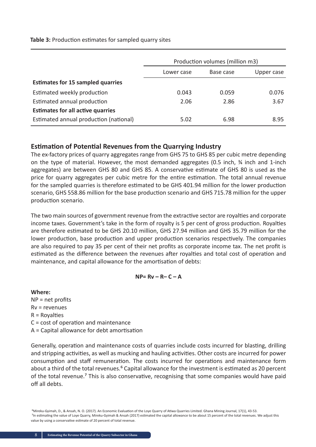**Table 3:** Production estimates for sampled quarry sites

|                                          | Production volumes (million m3) |           |            |
|------------------------------------------|---------------------------------|-----------|------------|
|                                          | Lower case                      | Base case | Upper case |
| <b>Estimates for 15 sampled quarries</b> |                                 |           |            |
| Estimated weekly production              | 0.043                           | 0.059     | 0.076      |
| Estimated annual production              | 2.06                            | 2.86      | 3.67       |
| <b>Estimates for all active quarries</b> |                                 |           |            |
| Estimated annual production (national)   | 5.02                            | 6.98      | 8.95       |

## **Estimation of Potential Revenues from the Quarrying Industry**

The ex-factory prices of quarry aggregates range from GHS 75 to GHS 85 per cubic metre depending on the type of material. However, the most demanded aggregates (0.5 inch, ¾ inch and 1-inch aggregates) are between GHS 80 and GHS 85. A conservative estimate of GHS 80 is used as the price for quarry aggregates per cubic metre for the entire estimation. The total annual revenue for the sampled quarries is therefore estimated to be GHS 401.94 million for the lower production scenario, GHS 558.86 million for the base production scenario and GHS 715.78 million for the upper production scenario.

The two main sources of government revenue from the extractive sector are royalties and corporate income taxes. Government's take in the form of royalty is 5 per cent of gross production. Royalties are therefore estimated to be GHS 20.10 million, GHS 27.94 million and GHS 35.79 million for the lower production, base production and upper production scenarios respectively. The companies are also required to pay 35 per cent of their net profits as corporate income tax. The net profit is estimated as the difference between the revenues after royalties and total cost of operation and maintenance, and capital allowance for the amortisation of debts:

#### **NP= Rv – R– C – A**

#### **Where:**

NP = net profits Rv = revenues  $R = Rovalties$ C = cost of operation and maintenance A = Capital allowance for debt amortisation

Generally, operation and maintenance costs of quarries include costs incurred for blasting, drilling and stripping activities, as well as mucking and hauling activities. Other costs are incurred for power consumption and staff remuneration. The costs incurred for operations and maintenance form about a third of the total revenues.<sup>6</sup> Capital allowance for the investment is estimated as 20 percent of the total revenue.<sup>7</sup> This is also conservative, recognising that some companies would have paid off all debts.

 ⁶Mireku-Gyimah, D., & Ansah, N. O. (2017). An Economic Evaluation of the Loye Quarry of Atiwa Quarries Limited. Ghana Mining Journal, 17(1), 43-53. <sup>7</sup>In estimating the value of Loye Quarry, Mireku-Gyimah & Ansah (2017) estimated the capital allowance to be about 15 percent of the total revenues. We adjust this value by using a conservative estimate of 20 percent of total revenue.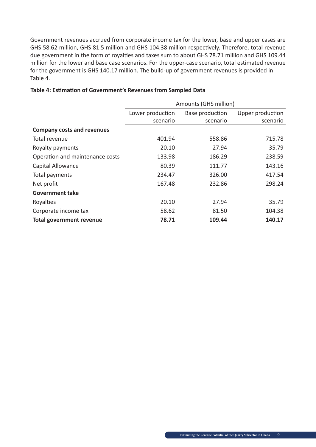Government revenues accrued from corporate income tax for the lower, base and upper cases are GHS 58.62 million, GHS 81.5 million and GHS 104.38 million respectively. Therefore, total revenue due government in the form of royalties and taxes sum to about GHS 78.71 million and GHS 109.44 million for the lower and base case scenarios. For the upper-case scenario, total estimated revenue for the government is GHS 140.17 million. The build-up of government revenues is provided in Table 4.

|                                   | Amounts (GHS million) |                 |                  |
|-----------------------------------|-----------------------|-----------------|------------------|
|                                   | Lower production      | Base production | Upper production |
|                                   | scenario              | scenario        | scenario         |
| <b>Company costs and revenues</b> |                       |                 |                  |
| Total revenue                     | 401.94                | 558.86          | 715.78           |
| Royalty payments                  | 20.10                 | 27.94           | 35.79            |
| Operation and maintenance costs   | 133.98                | 186.29          | 238.59           |
| Capital Allowance                 | 80.39                 | 111.77          | 143.16           |
| Total payments                    | 234.47                | 326.00          | 417.54           |
| Net profit                        | 167.48                | 232.86          | 298.24           |
| <b>Government take</b>            |                       |                 |                  |
| Royalties                         | 20.10                 | 27.94           | 35.79            |
| Corporate income tax              | 58.62                 | 81.50           | 104.38           |
| <b>Total government revenue</b>   | 78.71                 | 109.44          | 140.17           |

#### **Table 4: Estimation of Government's Revenues from Sampled Data**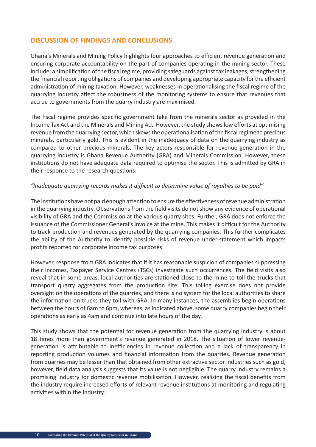## **DISCUSSION OF FINDINGS AND CONCLUSIONS**

Ghana's Minerals and Mining Policy highlights four approaches to efficient revenue generation and ensuring corporate accountability on the part of companies operating in the mining sector. These include; a simplification of the fiscal regime, providing safeguards against tax leakages, strengthening the financial reporting obligations of companies and developing appropriate capacity for the efficient administration of mining taxation. However, weaknesses in operationalising the fiscal regime of the quarrying industry affect the robustness of the monitoring systems to ensure that revenues that accrue to governments from the quarry industry are maximised.

The fiscal regime provides specific government take from the minerals sector as provided in the Income Tax Act and the Minerals and Mining Act. However, the study shows low efforts at optimising revenue from the quarrying sector, which skews the operationalisation of the fiscal regime to precious minerals, particularly gold. This is evident in the inadequacy of data on the quarrying industry as compared to other precious minerals. The key actors responsible for revenue generation in the quarrying industry is Ghana Revenue Authority (GRA) and Minerals Commission. However, these institutions do not have adequate data required to optimise the sector. This is admitted by GRA in their response to the research questions:

#### *"Inadequate quarrying records makes it difficult to determine value of royalties to be paid"*

The institutions have not paid enough attention to ensure the effectiveness of revenue administration in the quarrying industry. Observations from the field visits do not show any evidence of operational visibility of GRA and the Commission at the various quarry sites. Further, GRA does not enforce the issuance of the Commissioner General's invoice at the mine. This makes it difficult for the Authority to track production and revenues generated by the quarrying companies. This further complicates the ability of the Authority to identify possible risks of revenue under-statement which impacts profits reported for corporate income tax purposes.

However, response from GRA indicates that if it has reasonable suspicion of companies suppressing their incomes, Taxpayer Service Centres (TSCs) investigate such occurrences. The field visits also reveal that in some areas, local authorities are stationed close to the mine to toll the trucks that transport quarry aggregates from the production site. This tolling exercise does not provide oversight on the operations of the quarries, and there is no system for the local authorities to share the information on trucks they toll with GRA. In many instances, the assemblies begin operations between the hours of 6am to 6pm, whereas, as indicated above, some quarry companies begin their operations as early as 4am and continue into late hours of the day.

This study shows that the potential for revenue generation from the quarrying industry is about 18 times more than government's revenue generated in 2018. The situation of lower revenuegeneration is attributable to inefficiencies in revenue collection and a lack of transparency in reporting production volumes and financial information from the quarries. Revenue generation from quarries may be lesser than that obtained from other extractive sector industries such as gold, however, field data analysis suggests that its value is not negligible. The quarry industry remains a promising industry for domestic revenue mobilisation. However, realising the fiscal benefits from the industry require increased efforts of relevant revenue institutions at monitoring and regulating activities within the industry.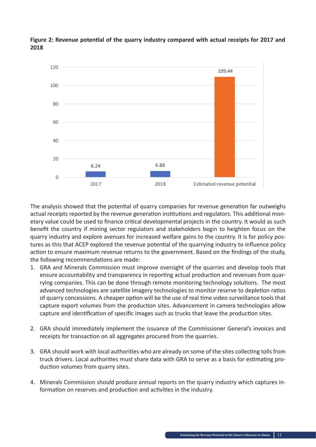

**Figure 2: Revenue potential of the quarry industry compared with actual receipts for 2017 and 2018**

The analysis showed that the potential of quarry companies for revenue generation far outweighs actual receipts reported by the revenue generation institutions and regulators. This additional monetary value could be used to finance critical developmental projects in the country. It would as such benefit the country if mining sector regulators and stakeholders begin to heighten focus on the quarry industry and explore avenues for increased welfare gains to the country. It is for policy postures as this that ACEP explored the revenue potential of the quarrying industry to influence policy action to ensure maximum revenue returns to the government. Based on the findings of the study, the following recommendations are made:

- 1. GRA and Minerals Commission must improve oversight of the quarries and develop tools that ensure accountability and transparency in reporting actual production and revenues from quarrying companies. This can be done through remote monitoring technology solutions. The most advanced technologies are satellite imagery technologies to monitor reserve to depletion ratios of quarry concessions. A cheaper option will be the use of real time video surveillance tools that capture export volumes from the production sites. Advancement in camera technologies allow capture and identification of specific images such as trucks that leave the production sites.
- 2. GRA should immediately implement the issuance of the Commissioner General's invoices and receipts for transaction on all aggregates procured from the quarries.
- 3. GRA should work with local authorities who are already on some of the sites collecting tolls from truck drivers. Local authorities must share data with GRA to serve as a basis for estimating production volumes from quarry sites.
- 4. Minerals Commission should produce annual reports on the quarry industry which captures information on reserves and production and activities in the industry.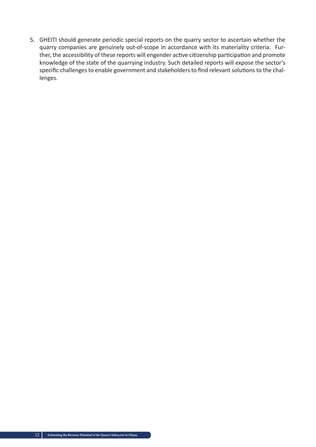5. GHEITI should generate periodic special reports on the quarry sector to ascertain whether the quarry companies are genuinely out-of-scope in accordance with its materiality criteria. Further, the accessibility of these reports will engender active citizenship participation and promote knowledge of the state of the quarrying industry. Such detailed reports will expose the sector's specific challenges to enable government and stakeholders to find relevant solutions to the challenges.